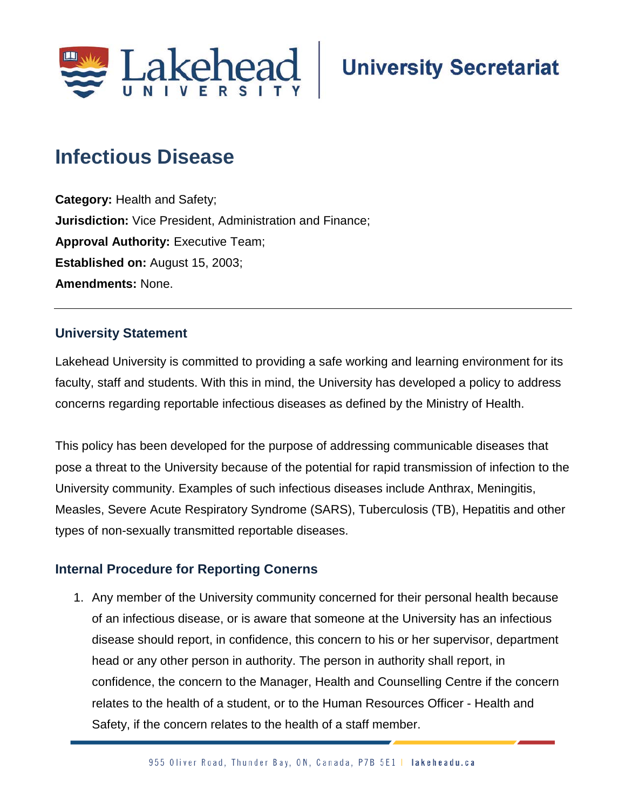

# **Infectious Disease**

**Category:** Health and Safety; **Jurisdiction:** Vice President, Administration and Finance; **Approval Authority: Executive Team; Established on:** August 15, 2003; **Amendments:** None.

## **University Statement**

Lakehead University is committed to providing a safe working and learning environment for its faculty, staff and students. With this in mind, the University has developed a policy to address concerns regarding reportable infectious diseases as defined by the Ministry of Health.

This policy has been developed for the purpose of addressing communicable diseases that pose a threat to the University because of the potential for rapid transmission of infection to the University community. Examples of such infectious diseases include Anthrax, Meningitis, Measles, Severe Acute Respiratory Syndrome (SARS), Tuberculosis (TB), Hepatitis and other types of non-sexually transmitted reportable diseases.

## **Internal Procedure for Reporting Conerns**

1. Any member of the University community concerned for their personal health because of an infectious disease, or is aware that someone at the University has an infectious disease should report, in confidence, this concern to his or her supervisor, department head or any other person in authority. The person in authority shall report, in confidence, the concern to the Manager, Health and Counselling Centre if the concern relates to the health of a student, or to the Human Resources Officer - Health and Safety, if the concern relates to the health of a staff member.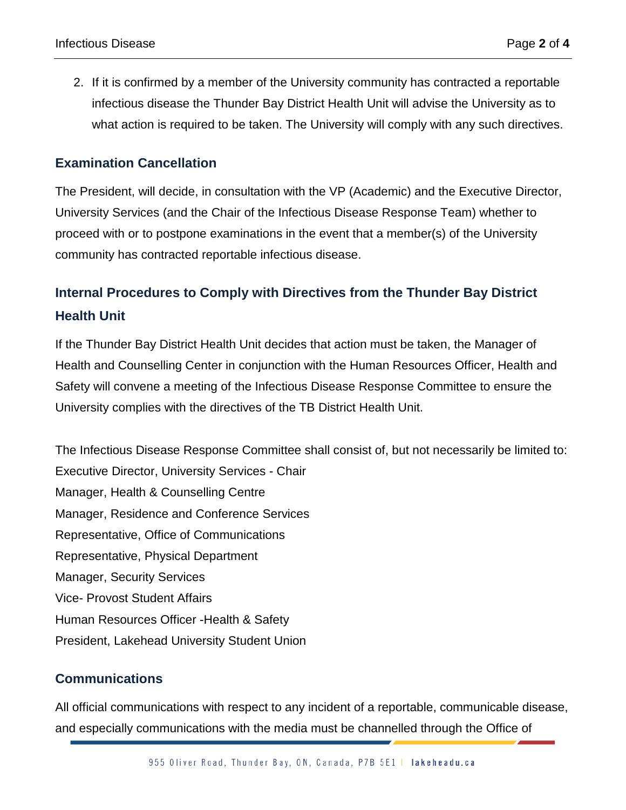2. If it is confirmed by a member of the University community has contracted a reportable infectious disease the Thunder Bay District Health Unit will advise the University as to what action is required to be taken. The University will comply with any such directives.

### **Examination Cancellation**

The President, will decide, in consultation with the VP (Academic) and the Executive Director, University Services (and the Chair of the Infectious Disease Response Team) whether to proceed with or to postpone examinations in the event that a member(s) of the University community has contracted reportable infectious disease.

# **Internal Procedures to Comply with Directives from the Thunder Bay District Health Unit**

If the Thunder Bay District Health Unit decides that action must be taken, the Manager of Health and Counselling Center in conjunction with the Human Resources Officer, Health and Safety will convene a meeting of the Infectious Disease Response Committee to ensure the University complies with the directives of the TB District Health Unit.

The Infectious Disease Response Committee shall consist of, but not necessarily be limited to: Executive Director, University Services - Chair Manager, Health & Counselling Centre Manager, Residence and Conference Services Representative, Office of Communications Representative, Physical Department Manager, Security Services Vice- Provost Student Affairs Human Resources Officer -Health & Safety President, Lakehead University Student Union

### **Communications**

All official communications with respect to any incident of a reportable, communicable disease, and especially communications with the media must be channelled through the Office of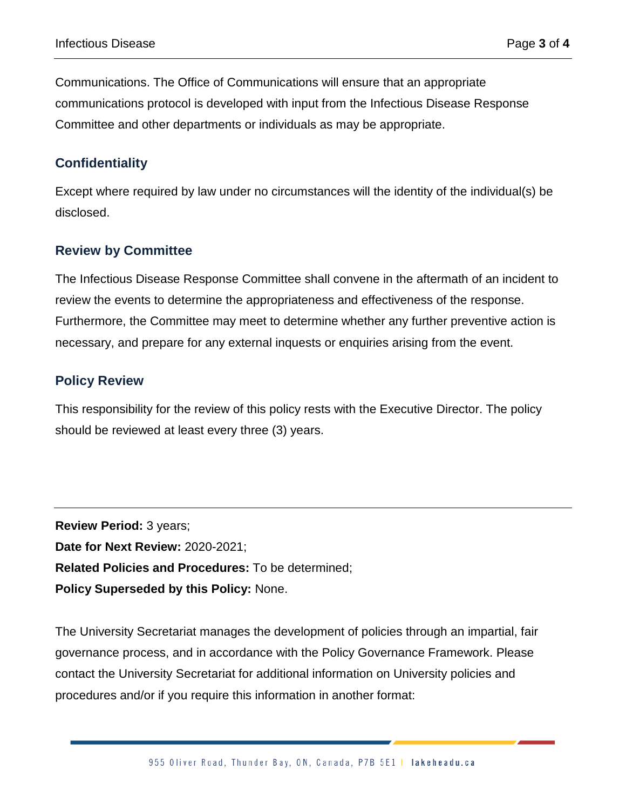Communications. The Office of Communications will ensure that an appropriate communications protocol is developed with input from the Infectious Disease Response Committee and other departments or individuals as may be appropriate.

### **Confidentiality**

Except where required by law under no circumstances will the identity of the individual(s) be disclosed.

### **Review by Committee**

The Infectious Disease Response Committee shall convene in the aftermath of an incident to review the events to determine the appropriateness and effectiveness of the response. Furthermore, the Committee may meet to determine whether any further preventive action is necessary, and prepare for any external inquests or enquiries arising from the event.

### **Policy Review**

This responsibility for the review of this policy rests with the Executive Director. The policy should be reviewed at least every three (3) years.

**Review Period:** 3 years; **Date for Next Review:** 2020-2021; **Related Policies and Procedures:** To be determined; **Policy Superseded by this Policy:** None.

The University Secretariat manages the development of policies through an impartial, fair governance process, and in accordance with the Policy Governance Framework. Please contact the University Secretariat for additional information on University policies and procedures and/or if you require this information in another format: